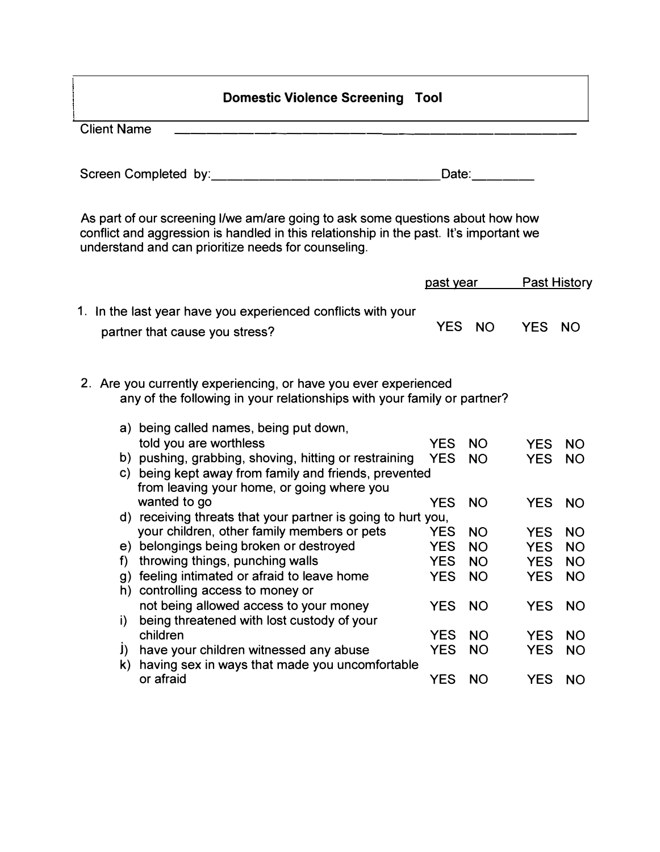## **Domestic Violence Screening Tool**

Client Name -------------------------

Screen Completed by: \_\_\_\_\_\_\_\_\_\_\_\_\_\_ Date: \_\_\_\_

As part of our screening I/we am/are going to ask some questions about how how conflict and aggression is handled in this relationship in the past. It's important we understand and can prioritize needs for counseling.

|  |          |                                                                                                                                                              |            | past year |            | <b>Past History</b> |  |  |
|--|----------|--------------------------------------------------------------------------------------------------------------------------------------------------------------|------------|-----------|------------|---------------------|--|--|
|  |          | 1. In the last year have you experienced conflicts with your<br>partner that cause you stress?                                                               | <b>YES</b> | <b>NO</b> | <b>YES</b> | <b>NO</b>           |  |  |
|  |          | 2. Are you currently experiencing, or have you ever experienced<br>any of the following in your relationships with your family or partner?                   |            |           |            |                     |  |  |
|  |          | a) being called names, being put down,<br>told you are worthless                                                                                             | <b>YES</b> | <b>NO</b> | <b>YES</b> | <b>NO</b>           |  |  |
|  |          | b) pushing, grabbing, shoving, hitting or restraining<br>c) being kept away from family and friends, prevented<br>from leaving your home, or going where you | <b>YES</b> | <b>NO</b> | <b>YES</b> | <b>NO</b>           |  |  |
|  |          | wanted to go                                                                                                                                                 | <b>YES</b> | <b>NO</b> | <b>YES</b> | <b>NO</b>           |  |  |
|  |          | d) receiving threats that your partner is going to hurt you,                                                                                                 |            |           |            |                     |  |  |
|  |          | your children, other family members or pets                                                                                                                  | <b>YES</b> | <b>NO</b> | <b>YES</b> | <b>NO</b>           |  |  |
|  |          | e) belongings being broken or destroyed                                                                                                                      | <b>YES</b> | <b>NO</b> | <b>YES</b> | <b>NO</b>           |  |  |
|  | f)       | throwing things, punching walls                                                                                                                              | <b>YES</b> | <b>NO</b> | <b>YES</b> | <b>NO</b>           |  |  |
|  | g)<br>h) | feeling intimated or afraid to leave home<br>controlling access to money or                                                                                  | <b>YES</b> | <b>NO</b> | <b>YES</b> | <b>NO</b>           |  |  |
|  | i)       | not being allowed access to your money<br>being threatened with lost custody of your                                                                         | <b>YES</b> | <b>NO</b> | <b>YES</b> | <b>NO</b>           |  |  |
|  |          | children                                                                                                                                                     | <b>YES</b> | <b>NO</b> | <b>YES</b> | <b>NO</b>           |  |  |
|  | J)<br>k) | have your children witnessed any abuse<br>having sex in ways that made you uncomfortable                                                                     | <b>YES</b> | <b>NO</b> | <b>YES</b> | <b>NO</b>           |  |  |
|  |          | or afraid                                                                                                                                                    | <b>YES</b> | <b>NO</b> | <b>YES</b> | <b>NO</b>           |  |  |